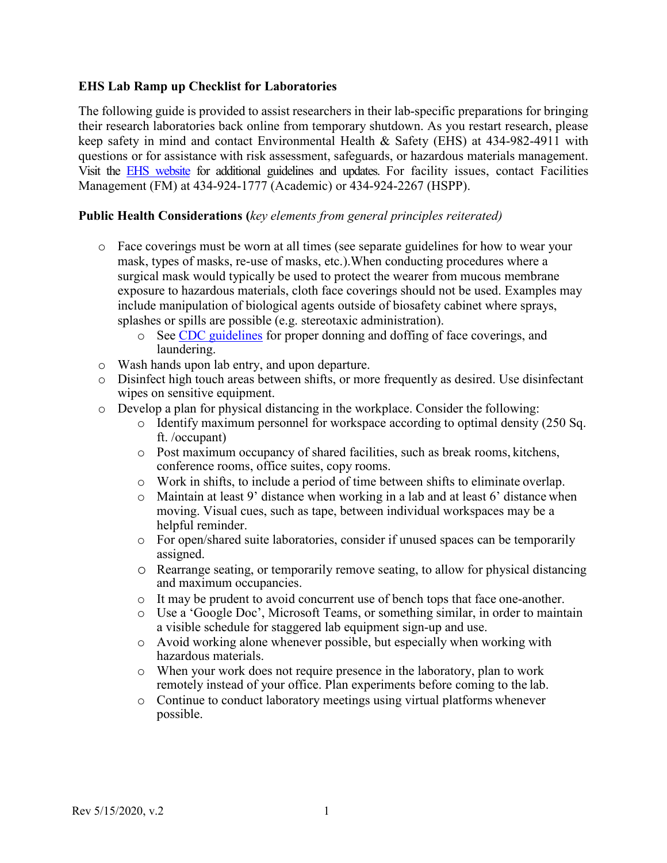#### **EHS Lab Ramp up Checklist for Laboratories**

The following guide is provided to assist researchers in their lab-specific preparations for bringing their research laboratories back online from temporary shutdown. As you restart research, please keep safety in mind and contact Environmental Health & Safety (EHS) at 434-982-4911 with questions or for assistance with risk assessment, safeguards, or hazardous materials management. Visit the [EHS website](http://ehs.virginia.edu/index.html) for additional guidelines and updates. For facility issues, contact Facilities Management (FM) at 434-924-1777 (Academic) or 434-924-2267 (HSPP).

### **Public Health Considerations (***key elements from general principles reiterated)*

- o Face coverings must be worn at all times (see separate guidelines for how to wear your mask, types of masks, re-use of masks, etc.).When conducting procedures where a surgical mask would typically be used to protect the wearer from mucous membrane exposure to hazardous materials, cloth face coverings should not be used. Examples may include manipulation of biological agents outside of biosafety cabinet where sprays, splashes or spills are possible (e.g. stereotaxic administration).
	- o See [CDC guidelines](https://www.cdc.gov/coronavirus/2019-ncov/prevent-getting-sick/diy-cloth-face-coverings.html) for proper donning and doffing of face coverings, and laundering.
- o Wash hands upon lab entry, and upon departure.
- o Disinfect high touch areas between shifts, or more frequently as desired. Use disinfectant wipes on sensitive equipment.
- $\circ$  Develop a plan for physical distancing in the workplace. Consider the following:
	- $\circ$  Identify maximum personnel for workspace according to optimal density (250 Sq. ft. /occupant)
	- o Post maximum occupancy of shared facilities, such as break rooms, kitchens, conference rooms, office suites, copy rooms.
	- o Work in shifts, to include a period of time between shifts to eliminate overlap.
	- o Maintain at least 9' distance when working in a lab and at least 6' distance when moving. Visual cues, such as tape, between individual workspaces may be a helpful reminder.
	- o For open/shared suite laboratories, consider if unused spaces can be temporarily assigned.
	- o Rearrange seating, or temporarily remove seating, to allow for physical distancing and maximum occupancies.
	- o It may be prudent to avoid concurrent use of bench tops that face one-another.
	- o Use a 'Google Doc', Microsoft Teams, or something similar, in order to maintain a visible schedule for staggered lab equipment sign-up and use.
	- o Avoid working alone whenever possible, but especially when working with hazardous materials.
	- o When your work does not require presence in the laboratory, plan to work remotely instead of your office. Plan experiments before coming to the lab.
	- o Continue to conduct laboratory meetings using virtual platforms whenever possible.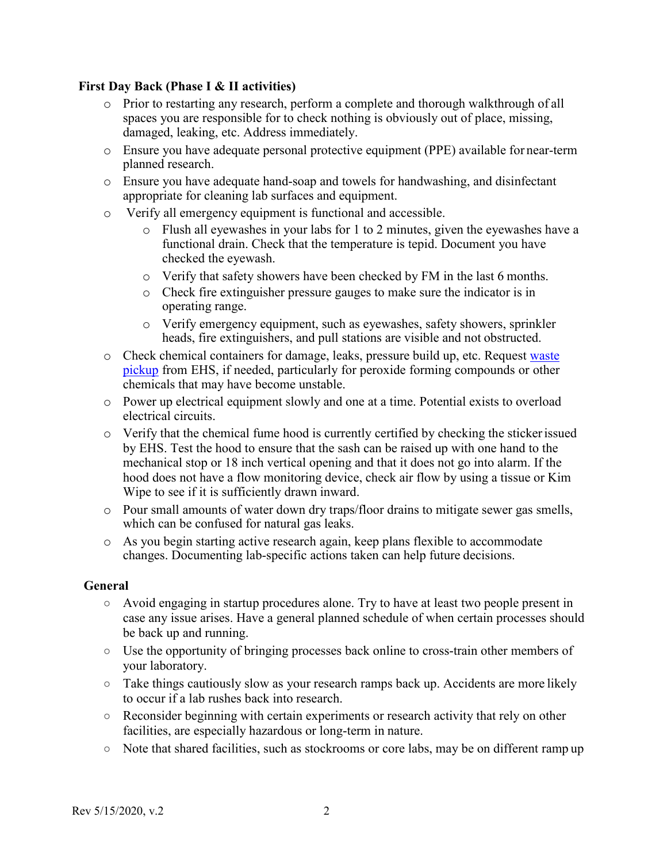#### **First Day Back (Phase I & II activities)**

- o Prior to restarting any research, perform a complete and thorough walkthrough of all spaces you are responsible for to check nothing is obviously out of place, missing, damaged, leaking, etc. Address immediately.
- o Ensure you have adequate personal protective equipment (PPE) available for near-term planned research.
- o Ensure you have adequate hand-soap and towels for handwashing, and disinfectant appropriate for cleaning lab surfaces and equipment.
- o Verify all emergency equipment is functional and accessible.
	- o Flush all eyewashes in your labs for 1 to 2 minutes, given the eyewashes have a functional drain. Check that the temperature is tepid. Document you have checked the eyewash.
	- o Verify that safety showers have been checked by FM in the last 6 months.
	- o Check fire extinguisher pressure gauges to make sure the indicator is in operating range.
	- o Verify emergency equipment, such as eyewashes, safety showers, sprinkler heads, fire extinguishers, and pull stations are visible and not obstructed.
- o Check chemical containers for damage, leaks, pressure build up, etc. Request [waste](https://ehs.virginia.edu/Waste.html) [pickup](https://ehs.virginia.edu/Waste.html) from EHS, if needed, particularly for peroxide forming compounds or other chemicals that may have become unstable.
- o Power up electrical equipment slowly and one at a time. Potential exists to overload electrical circuits.
- o Verify that the chemical fume hood is currently certified by checking the stickerissued by EHS. Test the hood to ensure that the sash can be raised up with one hand to the mechanical stop or 18 inch vertical opening and that it does not go into alarm. If the hood does not have a flow monitoring device, check air flow by using a tissue or Kim Wipe to see if it is sufficiently drawn inward.
- o Pour small amounts of water down dry traps/floor drains to mitigate sewer gas smells, which can be confused for natural gas leaks.
- o As you begin starting active research again, keep plans flexible to accommodate changes. Documenting lab-specific actions taken can help future decisions.

#### **General**

- Avoid engaging in startup procedures alone. Try to have at least two people present in case any issue arises. Have a general planned schedule of when certain processes should be back up and running.
- Use the opportunity of bringing processes back online to cross-train other members of your laboratory.
- Take things cautiously slow as your research ramps back up. Accidents are more likely to occur if a lab rushes back into research.
- Reconsider beginning with certain experiments or research activity that rely on other facilities, are especially hazardous or long-term in nature.
- Note that shared facilities, such as stockrooms or core labs, may be on different ramp up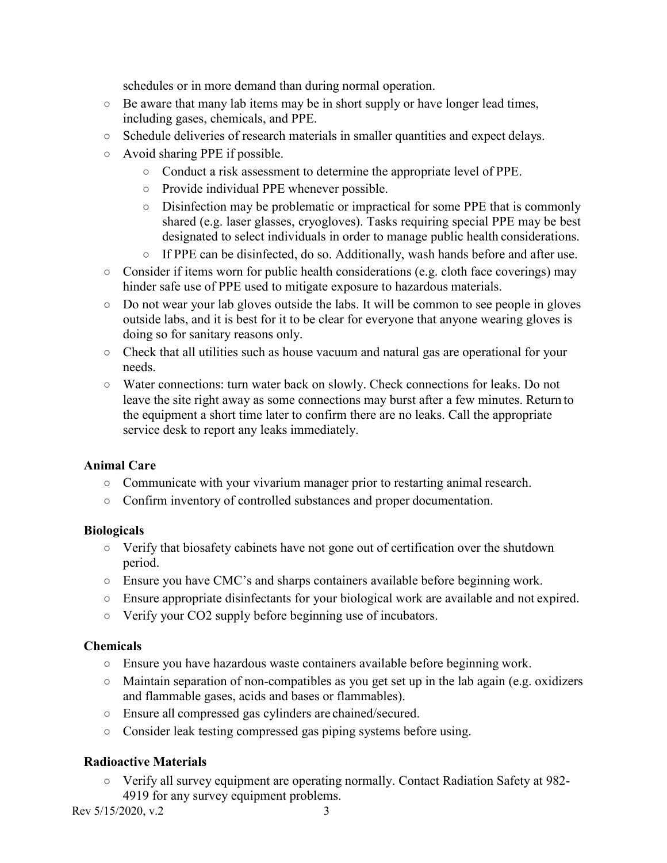schedules or in more demand than during normal operation.

- $\circ$  Be aware that many lab items may be in short supply or have longer lead times, including gases, chemicals, and PPE.
- Schedule deliveries of research materials in smaller quantities and expect delays.
- Avoid sharing PPE if possible.
	- Conduct a risk assessment to determine the appropriate level of PPE.
	- Provide individual PPE whenever possible.
	- Disinfection may be problematic or impractical for some PPE that is commonly shared (e.g. laser glasses, cryogloves). Tasks requiring special PPE may be best designated to select individuals in order to manage public health considerations.
	- If PPE can be disinfected, do so. Additionally, wash hands before and after use.
- $\circ$  Consider if items worn for public health considerations (e.g. cloth face coverings) may hinder safe use of PPE used to mitigate exposure to hazardous materials.
- Do not wear your lab gloves outside the labs. It will be common to see people in gloves outside labs, and it is best for it to be clear for everyone that anyone wearing gloves is doing so for sanitary reasons only.
- Check that all utilities such as house vacuum and natural gas are operational for your needs.
- Water connections: turn water back on slowly. Check connections for leaks. Do not leave the site right away as some connections may burst after a few minutes. Return to the equipment a short time later to confirm there are no leaks. Call the appropriate service desk to report any leaks immediately.

# **Animal Care**

- Communicate with your vivarium manager prior to restarting animal research.
- Confirm inventory of controlled substances and proper documentation.

## **Biologicals**

- Verify that biosafety cabinets have not gone out of certification over the shutdown period.
- Ensure you have CMC's and sharps containers available before beginning work.
- Ensure appropriate disinfectants for your biological work are available and not expired.
- Verify your CO2 supply before beginning use of incubators.

## **Chemicals**

- Ensure you have hazardous waste containers available before beginning work.
- Maintain separation of non-compatibles as you get set up in the lab again (e.g. oxidizers and flammable gases, acids and bases or flammables).
- Ensure all compressed gas cylinders are chained/secured.
- Consider leak testing compressed gas piping systems before using.

# **Radioactive Materials**

○ Verify all survey equipment are operating normally. Contact Radiation Safety at 982- 4919 for any survey equipment problems.

 $\text{Rev } 5/15/2020, \text{ v.2}$  3